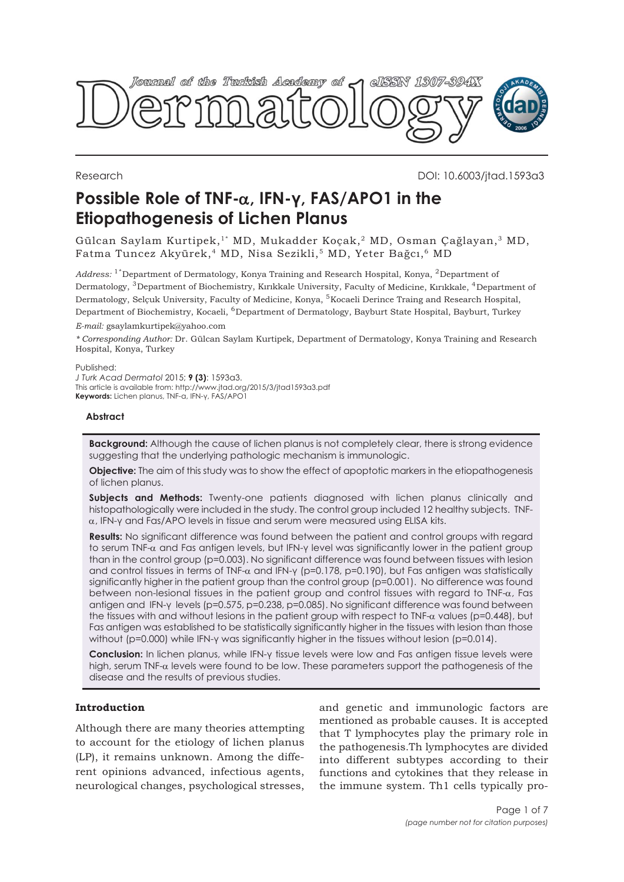

Research DOI: 10.6003/jtad.1593a3

# **Possible Role of TNF-**α**, IFN-γ, FAS/APO1 in the Etiopathogenesis of Lichen Planus**

Gülcan Saylam Kurtipek,1\* MD, Mukadder Koçak,2 MD, Osman Çağlayan,3 MD, Fatma Tuncez Akyürek,<sup>4</sup> MD, Nisa Sezikli,<sup>5</sup> MD, Yeter Bağcı,<sup>6</sup> MD

Address: <sup>1\*</sup>Department of Dermatology, Konya Training and Research Hospital, Konya, <sup>2</sup>Department of Dermatology, <sup>3</sup>Department of Biochemistry, Kırıkkale University, Faculty of Medicine, Kırıkkale, <sup>4</sup>Department of Dermatology, Selçuk University, Faculty of Medicine, Konya, <sup>5</sup>Kocaeli Derince Traing and Research Hospital, Department of Biochemistry, Kocaeli, <sup>6</sup>Department of Dermatology, Bayburt State Hospital, Bayburt, Turkey

*E-mail:* gsaylamkurtipek@yahoo.com

*\* Corresponding Author:* Dr. Gülcan Saylam Kurtipek, Department of Dermatology, Konya Training and Research Hospital, Konya, Turkey

Published:

*J Turk Acad Dermatol* 2015; **9 (3)**: 1593a3. This article is available from: http://www.jtad.org/2015/3/jtad1593a3.pdf **Keywords:** Lichen planus, TNF-α, IFN-γ, FAS/APO1

### **Abstract**

**Background:** Although the cause of lichen planus is not completely clear, there is strong evidence suggesting that the underlying pathologic mechanism is immunologic.

**Objective:** The aim of this study was to show the effect of apoptotic markers in the etiopathogenesis of lichen planus.

Subjects and Methods: Twenty-one patients diagnosed with lichen planus clinically and histopathologically were included in the study. The control group included 12 healthy subjects. TNFα, IFN-γ and Fas/APO levels in tissue and serum were measured using ELISA kits.

**Results:** No significant difference was found between the patient and control groups with regard to serum TNF-α and Fas antigen levels, but IFN-γ level was significantly lower in the patient group than in the control group (p=0.003). No significant difference was found between tissues with lesion and control tissues in terms of TNF-α and IFN-γ (p=0.178, p=0.190), but Fas antigen was statistically significantly higher in the patient group than the control group (p=0.001). No difference was found between non-lesional tissues in the patient group and control tissues with regard to TNF-α, Fas antigen and IFN-γ levels (p=0.575, p=0.238, p=0.085). No significant difference was found between the tissues with and without lesions in the patient group with respect to TNF- $\alpha$  values (p=0.448), but Fas antigen was established to be statistically significantly higher in the tissues with lesion than those without (p=0.000) while IFN-γ was significantly higher in the tissues without lesion (p=0.014).

**Conclusion:** In lichen planus, while IFN-γ tissue levels were low and Fas antigen tissue levels were high, serum TNF- $\alpha$  levels were found to be low. These parameters support the pathogenesis of the disease and the results of previous studies.

## **Introduction**

Although there are many theories attempting to account for the etiology of lichen planus (LP), it remains unknown. Among the different opinions advanced, infectious agents, neurological changes, psychological stresses,

and genetic and immunologic factors are mentioned as probable causes. It is accepted that T lymphocytes play the primary role in the pathogenesis.Th lymphocytes are divided into different subtypes according to their functions and cytokines that they release in the immune system. Th1 cells typically pro-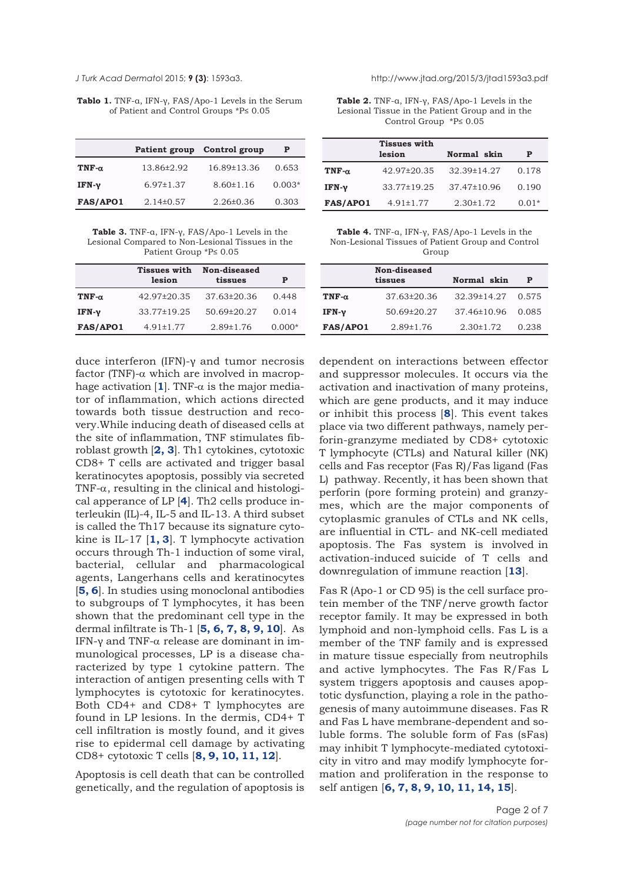**Tablo 1.** TNF-α, IFN-γ, FAS/Apo-1 Levels in the Serum of Patient and Control Groups \*P≤ 0.05

|               | <b>Patient group</b> | Control group   | Р        |
|---------------|----------------------|-----------------|----------|
| TNF- $\alpha$ | 13.86±2.92           | 16.89±13.36     | 0.653    |
| $IFN-\nu$     | $6.97 \pm 1.37$      | $8.60 \pm 1.16$ | $0.003*$ |
| FAS/APO1      | $2.14\pm0.57$        | $2.26 \pm 0.36$ | 0.303    |

**Table 3.** TNF-α, IFN-γ, FAS/Apo-1 Levels in the Lesional Compared to Non-Lesional Tissues in the Patient Group \*P≤ 0.05

|                 | <b>Tissues with</b><br>lesion | Non-diseased<br>tissues | P        |
|-----------------|-------------------------------|-------------------------|----------|
| $TNF-\alpha$    | 42.97±20.35                   | $37.63\pm20.36$         | 0.448    |
| IFN- $v$        | 33.77±19.25                   | 50.69±20.27             | 0.014    |
| <b>FAS/APO1</b> | $4.91 \pm 1.77$               | $2.89 \pm 1.76$         | $0.000*$ |

duce interferon (IFN)-γ and tumor necrosis factor (TNF)- $\alpha$  which are involved in macrophage activation  $[1]$  $[1]$  $[1]$ . TNF- $\alpha$  is the major mediator of inflammation, which actions directed towards both tissue destruction and recovery.While inducing death of diseased cells at the site of inflammation, TNF stimulates fibroblast growth [**[2, 3](#page-6-0)**]. Th1 cytokines, cytotoxic CD8+ T cells are activated and trigger basal keratinocytes apoptosis, possibly via secreted TNF- $\alpha$ , resulting in the clinical and histological apperance of LP [**[4](#page-6-0)**]. Th2 cells produce interleukin (IL)-4, IL-5 and IL-13. A third subset is called the Th17 because its signature cytokine is IL-17 [**[1,](#page-6-0) [3](#page-5-0)**]. T lymphocyte activation occurs through Th-1 induction of some viral, bacterial, cellular and pharmacological agents, Langerhans cells and keratinocytes [**[5, 6](#page-6-0)**]. In studies using monoclonal antibodies to subgroups of T lymphocytes, it has been shown that the predominant cell type in the dermal infiltrate is Th-1 [**[5, 6, 7, 8, 9, 10](#page-6-0)**]. As IFN-γ and TNF-α release are dominant in immunological processes, LP is a disease characterized by type 1 cytokine pattern. The interaction of antigen presenting cells with T lymphocytes is cytotoxic for keratinocytes. Both CD4+ and CD8+ T lymphocytes are found in LP lesions. In the dermis, CD4+ T cell infiltration is mostly found, and it gives rise to epidermal cell damage by activating CD8+ cytotoxic T cells [**[8, 9, 10, 11, 12](#page-6-0)**].

Apoptosis is cell death that can be controlled genetically, and the regulation of apoptosis is

<span id="page-1-0"></span>*J Turk Acad Dermato*l 2015; **9 (3)**: 1593a3. http://www.jtad.org/2015/3/jtad1593a3.pdf

**Table 2.** TNF-α, IFN-γ, FAS/Apo-1 Levels in the Lesional Tissue in the Patient Group and in the Control Group \*P≤ 0.05

|                 | <b>Tissues with</b><br>lesion | Normal skin     | P       |
|-----------------|-------------------------------|-----------------|---------|
| TNF- $\alpha$   | 42.97±20.35                   | 32.39±14.27     | 0.178   |
| IFN- $v$        | 33.77±19.25                   | 37.47±10.96     | 0.190   |
| <b>FAS/APO1</b> | $4.91 \pm 1.77$               | $2.30 \pm 1.72$ | $0.01*$ |

**Table 4.** TNF-α, IFN-γ, FAS/Apo-1 Levels in the Non-Lesional Tissues of Patient Group and Control Group

|                 | Non-diseased<br>tissues | Normal skin       | Р     |
|-----------------|-------------------------|-------------------|-------|
| TNF- $\alpha$   | 37.63±20.36             | 32.39±14.27       | 0.575 |
| IFN- $v$        | 50.69±20.27             | $37.46 \pm 10.96$ | 0.085 |
| <b>FAS/APO1</b> | $2.89 \pm 1.76$         | $2.30 \pm 1.72$   | 0.238 |

dependent on interactions between effector and suppressor molecules. It occurs via the activation and inactivation of many proteins, which are gene products, and it may induce or inhibit this process [**[8](#page-6-0)**]. This event takes place via two different pathways, namely perforin-granzyme mediated by CD8+ cytotoxic T lymphocyte (CTLs) and Natural killer (NK) cells and Fas receptor (Fas R)/Fas ligand (Fas L) pathway. Recently, it has been shown that perforin (pore forming protein) and granzymes, which are the major components of cytoplasmic granules of CTLs and NK cells, are influential in CTL- and NK-cell mediated apoptosis. The Fas system is involved in activation-induced suicide of T cells and downregulation of immune reaction [**[13](#page-6-0)**].

Fas R (Apo-1 or CD 95) is the cell surface protein member of the TNF/nerve growth factor receptor family. It may be expressed in both lymphoid and non-lymphoid cells. Fas L is a member of the TNF family and is expressed in mature tissue especially from neutrophils and active lymphocytes. The Fas R/Fas L system triggers apoptosis and causes apoptotic dysfunction, playing a role in the pathogenesis of many autoimmune diseases. Fas R and Fas L have membrane-dependent and soluble forms. The soluble form of Fas (sFas) may inhibit T lymphocyte-mediated cytotoxicity in vitro and may modify lymphocyte formation and proliferation in the response to self antigen [**[6, 7, 8, 9, 10, 11, 14, 15](#page-6-0)**].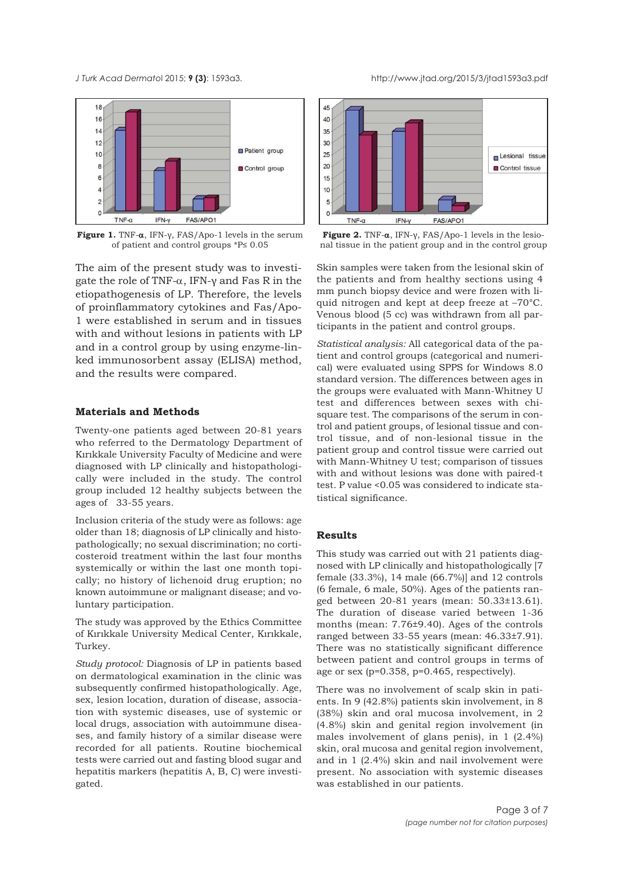<span id="page-2-0"></span>

**Figure 1.** TNF-α, IFN-γ, FAS/Apo-1 levels in the serum of patient and control groups \*P≤ 0.05

The aim of the present study was to investigate the role of TNF- $\alpha$ , IFN-γ and Fas R in the etiopathogenesis of LP. Therefore, the levels of proinflammatory cytokines and Fas/Apo-1 were established in serum and in tissues with and without lesions in patients with LP and in a control group by using enzyme-linked immunosorbent assay (ELISA) method, and the results were compared.

#### **Materials and Methods**

Twenty-one patients aged between 20-81 years who referred to the Dermatology Department of Kırıkkale University Faculty of Medicine and were diagnosed with LP clinically and histopathologically were included in the study. The control group included 12 healthy subjects between the ages of 33-55 years.

Inclusion criteria of the study were as follows: age older than 18; diagnosis of LP clinically and histopathologically; no sexual discrimination; no corticosteroid treatment within the last four months systemically or within the last one month topically; no history of lichenoid drug eruption; no known autoimmune or malignant disease; and voluntary participation.

The study was approved by the Ethics Committee of Kırıkkale University Medical Center, Kırıkkale, Turkey.

*Study protocol:* Diagnosis of LP in patients based on dermatological examination in the clinic was subsequently confirmed histopathologically. Age, sex, lesion location, duration of disease, association with systemic diseases, use of systemic or local drugs, association with autoimmune diseases, and family history of a similar disease were recorded for all patients. Routine biochemical tests were carried out and fasting blood sugar and hepatitis markers (hepatitis A, B, C) were investigated.





Skin samples were taken from the lesional skin of the patients and from healthy sections using 4 mm punch biopsy device and were frozen with liquid nitrogen and kept at deep freeze at –70°C. Venous blood (5 cc) was withdrawn from all participants in the patient and control groups.

*Statistical analysis:* All categorical data of the patient and control groups (categorical and numerical) were evaluated using SPPS for Windows 8.0 standard version. The differences between ages in the groups were evaluated with Mann-Whitney U test and differences between sexes with chisquare test. The comparisons of the serum in control and patient groups, of lesional tissue and control tissue, and of non-lesional tissue in the patient group and control tissue were carried out with Mann-Whitney U test; comparison of tissues with and without lesions was done with paired-t test. P value <0.05 was considered to indicate statistical significance.

### **Results**

This study was carried out with 21 patients diagnosed with LP clinically and histopathologically [7 female (33.3%), 14 male (66.7%)] and 12 controls (6 female, 6 male, 50%). Ages of the patients ranged between 20-81 years (mean: 50.33±13.61). The duration of disease varied between 1-36 months (mean: 7.76±9.40). Ages of the controls ranged between 33-55 years (mean: 46.33±7.91). There was no statistically significant difference between patient and control groups in terms of age or sex (p=0.358, p=0.465, respectively).

There was no involvement of scalp skin in patients. In 9 (42.8%) patients skin involvement, in 8 (38%) skin and oral mucosa involvement, in 2 (4.8%) skin and genital region involvement (in males involvement of glans penis), in 1 (2.4%) skin, oral mucosa and genital region involvement, and in 1 (2.4%) skin and nail involvement were present. No association with systemic diseases was established in our patients.

Page 3 of 7

*(page number not for citation purposes)*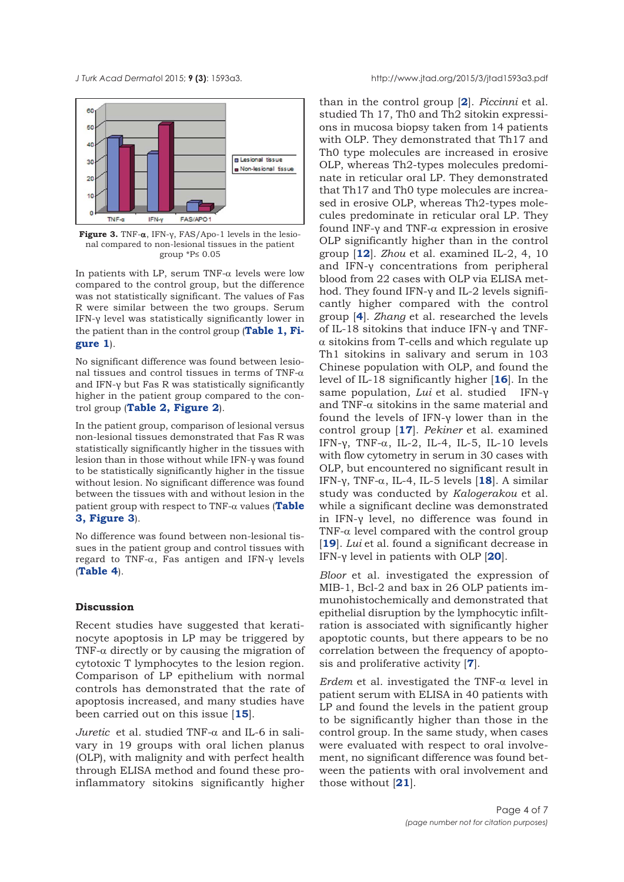

**Figure 3.** TNF-α, IFN-γ, FAS/Apo-1 levels in the lesional compared to non-lesional tissues in the patient group \*P≤ 0.05

In patients with LP, serum TNF- $\alpha$  levels were low compared to the control group, but the difference was not statistically significant. The values of Fas R were similar between the two groups. Serum IFN-γ level was statistically significantly lower in [the patient than in the control group \(](#page-2-0)**[Table 1,](#page-1-0) Figure 1**).

No significant difference was found between lesional tissues and control tissues in terms of TNF- $\alpha$ and IFN-γ but Fas R was statistically significantly higher in the patient group compared to the control group (**[Table 2,](#page-1-0) [Figure 2](#page-2-0)**).

In the patient group, comparison of lesional versus non-lesional tissues demonstrated that Fas R was statistically significantly higher in the tissues with lesion than in those without while IFN-γ was found to be statistically significantly higher in the tissue without lesion. No significant difference was found between the tissues with and without lesion in the patient group with respect to TNF-α values (**Table 3, Figure 3**).

No difference was found between non-lesional tissues in the patient group and control tissues with regard to TNF-α, Fas antigen and IFN-γ levels (**[Table 4](#page-1-0)**).

## **Discussion**

Recent studies have suggested that keratinocyte apoptosis in LP may be triggered by TNF- $\alpha$  directly or by causing the migration of cytotoxic T lymphocytes to the lesion region. Comparison of LP epithelium with normal controls has demonstrated that the rate of apoptosis increased, and many studies have been carried out on this issue [**[15](#page-6-0)**].

*Juretic* et al. studied TNF-α and IL-6 in salivary in 19 groups with oral lichen planus (OLP), with malignity and with perfect health through ELISA method and found these proinflammatory sitokins significantly higher

than in the control group [**[2](#page-6-0)**]. *Piccinni* et al. studied Th 17, Th0 and Th2 sitokin expressions in mucosa biopsy taken from 14 patients with OLP. They demonstrated that Th17 and Th0 type molecules are increased in erosive OLP, whereas Th2-types molecules predominate in reticular oral LP. They demonstrated that Th17 and Th0 type molecules are increased in erosive OLP, whereas Th2-types molecules predominate in reticular oral LP. They found INF-γ and TNF-α expression in erosive OLP significantly higher than in the control group [**[12](#page-6-0)**]. *Zhou* et al. examined IL-2, 4, 10 and IFN-γ concentrations from peripheral blood from 22 cases with OLP via ELISA method. They found IFN-γ and IL-2 levels significantly higher compared with the control group [**[4](#page-6-0)**]. *Zhang* et al. researched the levels of IL-18 sitokins that induce IFN-γ and TNFα sitokins from T-cells and which regulate up Th1 sitokins in salivary and serum in 103 Chinese population with OLP, and found the level of IL-18 significantly higher [**[16](#page-6-0)**]. In the same population, *Lui* et al. studied IFN-γ and TNF- $\alpha$  sitokins in the same material and found the levels of IFN-γ lower than in the control group [**[17](#page-6-0)**]. *Pekiner* et al. examined IFN- $\gamma$ , TNF- $\alpha$ , IL-2, IL-4, IL-5, IL-10 levels with flow cytometry in serum in 30 cases with OLP, but encountered no significant result in IFN-γ, TNF-α, IL-4, IL-5 levels [**[18](#page-6-0)**]. A similar study was conducted by *Kalogerakou* et al. while a significant decline was demonstrated in IFN-γ level, no difference was found in TNF- $\alpha$  level compared with the control group [**[19](#page-6-0)**]. *Lui* et al. found a significant decrease in IFN-γ level in patients with OLP [**[20](#page-6-0)**].

*Bloor* et al. investigated the expression of MIB-1, Bcl-2 and bax in 26 OLP patients immunohistochemically and demonstrated that epithelial disruption by the lymphocytic infiltration is associated with significantly higher apoptotic counts, but there appears to be no correlation between the frequency of apoptosis and proliferative activity [**[7](#page-6-0)**].

*Erdem* et al. investigated the TNF-α level in patient serum with ELISA in 40 patients with LP and found the levels in the patient group to be significantly higher than those in the control group. In the same study, when cases were evaluated with respect to oral involvement, no significant difference was found between the patients with oral involvement and those without [**[21](#page-6-0)**].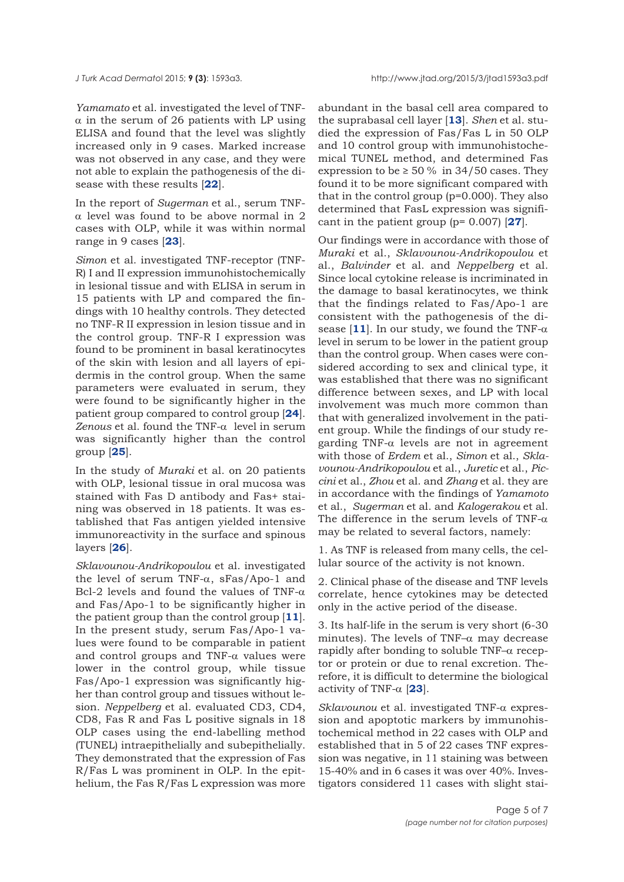*Yamamato* et al. investigated the level of TNF- $\alpha$  in the serum of 26 patients with LP using ELISA and found that the level was slightly increased only in 9 cases. Marked increase was not observed in any case, and they were not able to explain the pathogenesis of the disease with these results [**[22](#page-6-0)**].

In the report of *Sugerman* et al., serum TNFα level was found to be above normal in 2 cases with OLP, while it was within normal range in 9 cases [**[23](#page-6-0)**].

*Simon* et al. investigated TNF-receptor (TNF-R) I and II expression immunohistochemically in lesional tissue and with ELISA in serum in 15 patients with LP and compared the findings with 10 healthy controls. They detected no TNF-R II expression in lesion tissue and in the control group. TNF-R I expression was found to be prominent in basal keratinocytes of the skin with lesion and all layers of epidermis in the control group. When the same parameters were evaluated in serum, they were found to be significantly higher in the patient group compared to control group [**[24](#page-6-0)**]. *Zenous* et al. found the TNF-α level in serum was significantly higher than the control group [**[25](#page-6-0)**].

In the study of *Muraki* et al. on 20 patients with OLP, lesional tissue in oral mucosa was stained with Fas D antibody and Fas+ staining was observed in 18 patients. It was established that Fas antigen yielded intensive immunoreactivity in the surface and spinous layers [**[26](#page-6-0)**].

*Sklavounou-Andrikopoulou* et al. investigated the level of serum TNF- $\alpha$ , sFas/Apo-1 and Bcl-2 levels and found the values of TNF- $\alpha$ and Fas/Apo-1 to be significantly higher in the patient group than the control group [**[11](#page-6-0)**]. In the present study, serum Fas/Apo-1 values were found to be comparable in patient and control groups and TNF- $\alpha$  values were lower in the control group, while tissue Fas/Apo-1 expression was significantly higher than control group and tissues without lesion. *Neppelberg* et al. evaluated CD3, CD4, CD8, Fas R and Fas L positive signals in 18 OLP cases using the end-labelling method (TUNEL) intraepithelially and subepithelially. They demonstrated that the expression of Fas R/Fas L was prominent in OLP. In the epithelium, the Fas R/Fas L expression was more abundant in the basal cell area compared to the suprabasal cell layer [**[13](#page-6-0)**]. *Shen* et al. studied the expression of Fas/Fas L in 50 OLP and 10 control group with immunohistochemical TUNEL method, and determined Fas expression to be  $\geq 50\%$  in 34/50 cases. They found it to be more significant compared with that in the control group (p=0.000). They also determined that FasL expression was significant in the patient group (p= 0.007) [**[27](#page-6-0)**].

Our findings were in accordance with those of *Muraki* et al., *Sklavounou-Andrikopoulou* et al., *Balvinder* et al. and *Neppelberg* et al. Since local cytokine release is incriminated in the damage to basal keratinocytes, we think that the findings related to Fas/Apo-1 are consistent with the pathogenesis of the disease  $[11]$  $[11]$  $[11]$ . In our study, we found the TNF- $\alpha$ level in serum to be lower in the patient group than the control group. When cases were considered according to sex and clinical type, it was established that there was no significant difference between sexes, and LP with local involvement was much more common than that with generalized involvement in the patient group. While the findings of our study regarding TNF-α levels are not in agreement with those of *Erdem* et al., *Simon* et al., *Sklavounou-Andrikopoulou* et al., *Juretic* et al., *Piccini* et al., *Zhou* et al. and *Zhang* et al. they are in accordance with the findings of *Yamamoto* et al., *Sugerman* et al. and *Kalogerakou* et al. The difference in the serum levels of TNF- $\alpha$ may be related to several factors, namely:

1. As TNF is released from many cells, the cellular source of the activity is not known.

2. Clinical phase of the disease and TNF levels correlate, hence cytokines may be detected only in the active period of the disease.

3. Its half-life in the serum is very short (6-30 minutes). The levels of TNF– $\alpha$  may decrease rapidly after bonding to soluble TNF– $\alpha$  receptor or protein or due to renal excretion. Therefore, it is difficult to determine the biological activity of TNF- $\alpha$  [[23](#page-6-0)].

*Sklavounou* et al. investigated TNF-α expression and apoptotic markers by immunohistochemical method in 22 cases with OLP and established that in 5 of 22 cases TNF expression was negative, in 11 staining was between 15-40% and in 6 cases it was over 40%. Investigators considered 11 cases with slight stai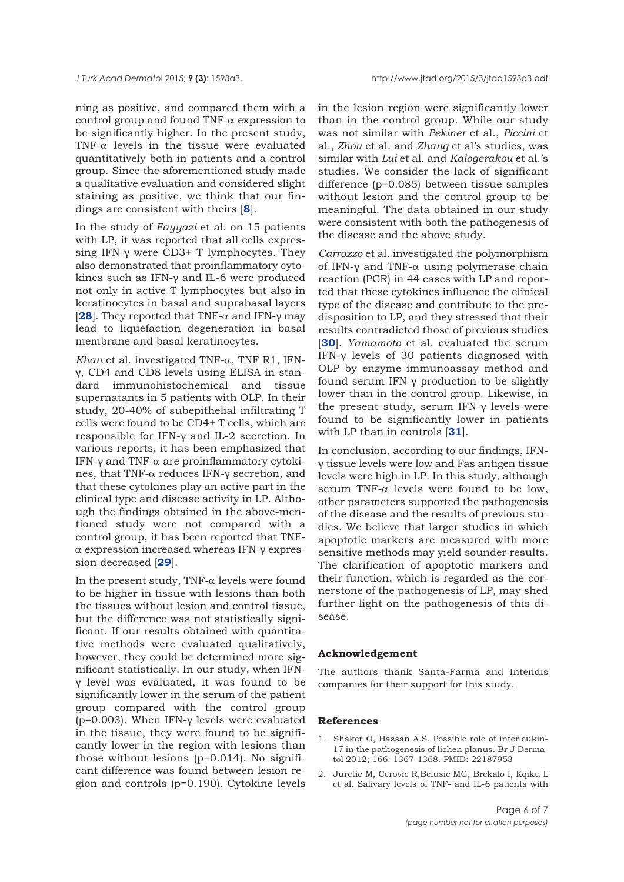<span id="page-5-0"></span>ning as positive, and compared them with a control group and found TNF-α expression to be significantly higher. In the present study, TNF- $\alpha$  levels in the tissue were evaluated quantitatively both in patients and a control group. Since the aforementioned study made a qualitative evaluation and considered slight staining as positive, we think that our findings are consistent with theirs [**[8](#page-6-0)**].

In the study of *Fayyazi* et al. on 15 patients with LP, it was reported that all cells expressing IFN-γ were CD3+ T lymphocytes. They also demonstrated that proinflammatory cytokines such as IFN-γ and IL-6 were produced not only in active T lymphocytes but also in keratinocytes in basal and suprabasal layers [**[28](#page-6-0)**]. They reported that TNF-α and IFN-γ may lead to liquefaction degeneration in basal membrane and basal keratinocytes.

*Khan* et al. investigated TNF-α, TNF R1, IFNγ, CD4 and CD8 levels using ELISA in standard immunohistochemical and tissue supernatants in 5 patients with OLP. In their study, 20-40% of subepithelial infiltrating T cells were found to be CD4+ T cells, which are responsible for IFN-γ and IL-2 secretion. In various reports, it has been emphasized that IFN-γ and TNF-α are proinflammatory cytokines, that TNF-α reduces IFN-γ secretion, and that these cytokines play an active part in the clinical type and disease activity in LP. Although the findings obtained in the above-mentioned study were not compared with a control group, it has been reported that TNFα expression increased whereas IFN-γ expression decreased [**[29](#page-6-0)**].

In the present study, TNF- $\alpha$  levels were found to be higher in tissue with lesions than both the tissues without lesion and control tissue, but the difference was not statistically significant. If our results obtained with quantitative methods were evaluated qualitatively, however, they could be determined more significant statistically. In our study, when IFNγ level was evaluated, it was found to be significantly lower in the serum of the patient group compared with the control group ( $p=0.003$ ). When IFN- $\gamma$  levels were evaluated in the tissue, they were found to be significantly lower in the region with lesions than those without lesions (p=0.014). No significant difference was found between lesion region and controls (p=0.190). Cytokine levels

in the lesion region were significantly lower than in the control group. While our study was not similar with *Pekiner* et al., *Piccini* et al., *Zhou* et al. and *Zhang* et al's studies, was similar with *Lui* et al. and *Kalogerakou* et al.'s studies. We consider the lack of significant difference (p=0.085) between tissue samples without lesion and the control group to be meaningful. The data obtained in our study were consistent with both the pathogenesis of the disease and the above study.

*Carrozzo* et al. investigated the polymorphism of IFN-γ and TNF- $\alpha$  using polymerase chain reaction (PCR) in 44 cases with LP and reported that these cytokines influence the clinical type of the disease and contribute to the predisposition to LP, and they stressed that their results contradicted those of previous studies [**[30](#page-6-0)**]. *Yamamoto* et al. evaluated the serum IFN-γ levels of 30 patients diagnosed with OLP by enzyme immunoassay method and found serum IFN-γ production to be slightly lower than in the control group. Likewise, in the present study, serum IFN-γ levels were found to be significantly lower in patients with LP than in controls [**[31](#page-6-0)**].

In conclusion, according to our findings, IFNγ tissue levels were low and Fas antigen tissue levels were high in LP. In this study, although serum TNF-α levels were found to be low, other parameters supported the pathogenesis of the disease and the results of previous studies. We believe that larger studies in which apoptotic markers are measured with more sensitive methods may yield sounder results. The clarification of apoptotic markers and their function, which is regarded as the cornerstone of the pathogenesis of LP, may shed further light on the pathogenesis of this disease.

#### **Acknowledgement**

The authors thank Santa-Farma and Intendis companies for their support for this study.

#### **References**

- 1. Shaker O, Hassan A.S. Possible role of interleukin-17 in the pathogenesis of lichen planus. Br J Dermatol 2012; 166: 1367-1368. PMID: 22187953
- 2. Juretic M, Cerovic R,Belusic MG, Brekalo I, Kqıku L et al. Salivary levels of TNF- and IL-6 patients with